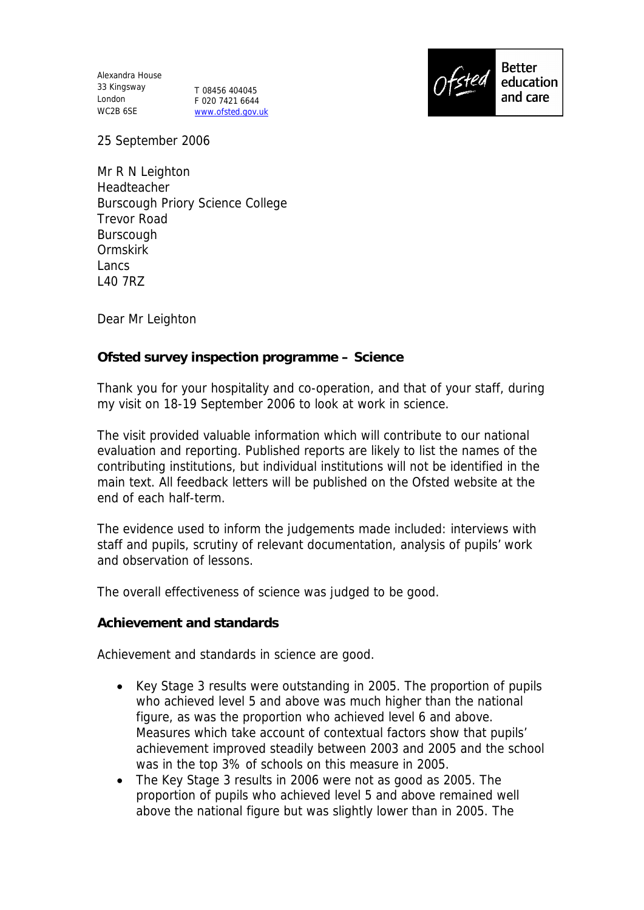Alexandra House 33 Kingsway London WC2B 6SE

T 08456 404045 F 020 7421 6644 www.ofsted.gov.uk



25 September 2006

Mr R N Leighton **Headteacher** Burscough Priory Science College Trevor Road Burscough Ormskirk Lancs L40 7RZ

Dear Mr Leighton

**Ofsted survey inspection programme – Science**

Thank you for your hospitality and co-operation, and that of your staff, during my visit on 18-19 September 2006 to look at work in science.

The visit provided valuable information which will contribute to our national evaluation and reporting. Published reports are likely to list the names of the contributing institutions, but individual institutions will not be identified in the main text. All feedback letters will be published on the Ofsted website at the end of each half-term.

The evidence used to inform the judgements made included: interviews with staff and pupils, scrutiny of relevant documentation, analysis of pupils' work and observation of lessons.

The overall effectiveness of science was judged to be good.

**Achievement and standards**

Achievement and standards in science are good.

- Key Stage 3 results were outstanding in 2005. The proportion of pupils who achieved level 5 and above was much higher than the national figure, as was the proportion who achieved level 6 and above. Measures which take account of contextual factors show that pupils' achievement improved steadily between 2003 and 2005 and the school was in the top 3% of schools on this measure in 2005.
- The Key Stage 3 results in 2006 were not as good as 2005. The proportion of pupils who achieved level 5 and above remained well above the national figure but was slightly lower than in 2005. The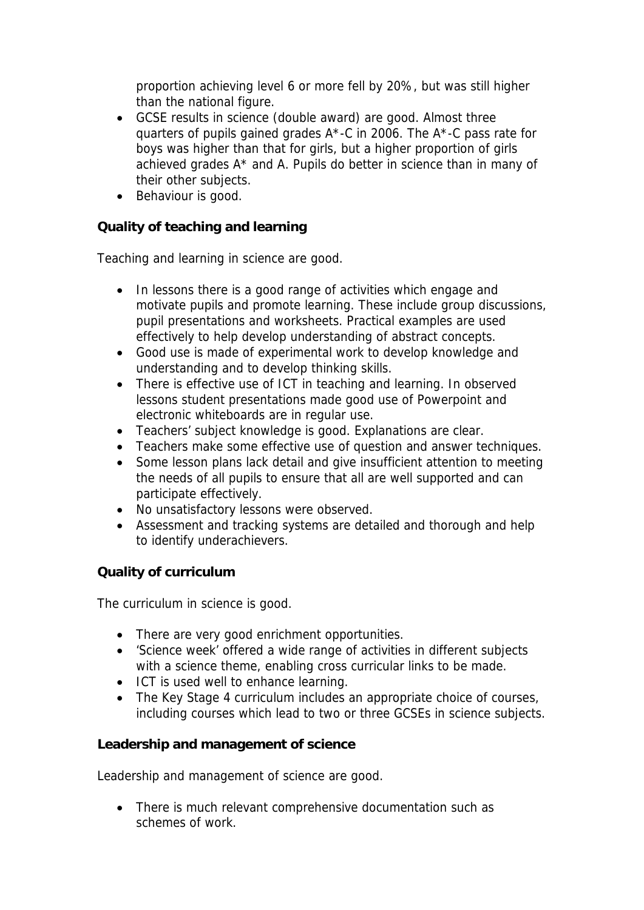proportion achieving level 6 or more fell by 20%, but was still higher than the national figure.

- GCSE results in science (double award) are good. Almost three quarters of pupils gained grades A\*-C in 2006. The A\*-C pass rate for boys was higher than that for girls, but a higher proportion of girls achieved grades A\* and A. Pupils do better in science than in many of their other subjects.
- Behaviour is good.

**Quality of teaching and learning**

Teaching and learning in science are good.

- In lessons there is a good range of activities which engage and motivate pupils and promote learning. These include group discussions, pupil presentations and worksheets. Practical examples are used effectively to help develop understanding of abstract concepts.
- Good use is made of experimental work to develop knowledge and understanding and to develop thinking skills.
- There is effective use of ICT in teaching and learning. In observed lessons student presentations made good use of Powerpoint and electronic whiteboards are in regular use.
- Teachers' subject knowledge is good. Explanations are clear.
- Teachers make some effective use of question and answer techniques.
- Some lesson plans lack detail and give insufficient attention to meeting the needs of all pupils to ensure that all are well supported and can participate effectively.
- No unsatisfactory lessons were observed.
- Assessment and tracking systems are detailed and thorough and help to identify underachievers.

## **Quality of curriculum**

The curriculum in science is good.

- There are very good enrichment opportunities.
- 'Science week' offered a wide range of activities in different subjects with a science theme, enabling cross curricular links to be made.
- ICT is used well to enhance learning.
- The Key Stage 4 curriculum includes an appropriate choice of courses, including courses which lead to two or three GCSEs in science subjects.

**Leadership and management of science**

Leadership and management of science are good.

• There is much relevant comprehensive documentation such as schemes of work.